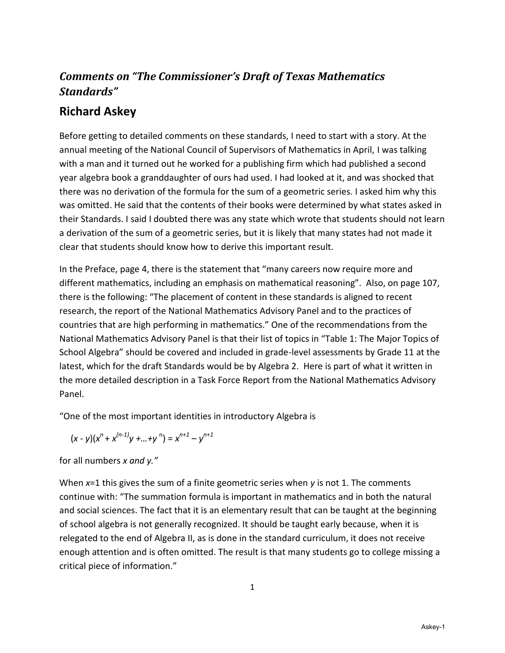# *Comments on "The Commissioner's Draft of Texas Mathematics Standards"*

# **Richard Askey**

Before getting to detailed comments on these standards, I need to start with a story. At the annual meeting of the National Council of Supervisors of Mathematics in April, I was talking with a man and it turned out he worked for a publishing firm which had published a second year algebra book a granddaughter of ours had used. I had looked at it, and was shocked that there was no derivation of the formula for the sum of a geometric series. I asked him why this was omitted. He said that the contents of their books were determined by what states asked in their Standards. I said I doubted there was any state which wrote that students should not learn a derivation of the sum of a geometric series, but it is likely that many states had not made it clear that students should know how to derive this important result.

In the Preface, page 4, there is the statement that "many careers now require more and different mathematics, including an emphasis on mathematical reasoning". Also, on page 107, there is the following: "The placement of content in these standards is aligned to recent research, the report of the National Mathematics Advisory Panel and to the practices of countries that are high performing in mathematics." One of the recommendations from the National Mathematics Advisory Panel is that their list of topics in "Table 1: The Major Topics of School Algebra" should be covered and included in grade-level assessments by Grade 11 at the latest, which for the draft Standards would be by Algebra 2. Here is part of what it written in the more detailed description in a Task Force Report from the National Mathematics Advisory Panel.

"One of the most important identities in introductory Algebra is

$$
(x - y)(x^n + x^{(n-1)}y + ... + y^n) = x^{n+1} - y^{n+1}
$$

for all numbers *x and y."*

When *x*=1 this gives the sum of a finite geometric series when *y* is not 1. The comments continue with: "The summation formula is important in mathematics and in both the natural and social sciences. The fact that it is an elementary result that can be taught at the beginning of school algebra is not generally recognized. It should be taught early because, when it is relegated to the end of Algebra II, as is done in the standard curriculum, it does not receive enough attention and is often omitted. The result is that many students go to college missing a critical piece of information."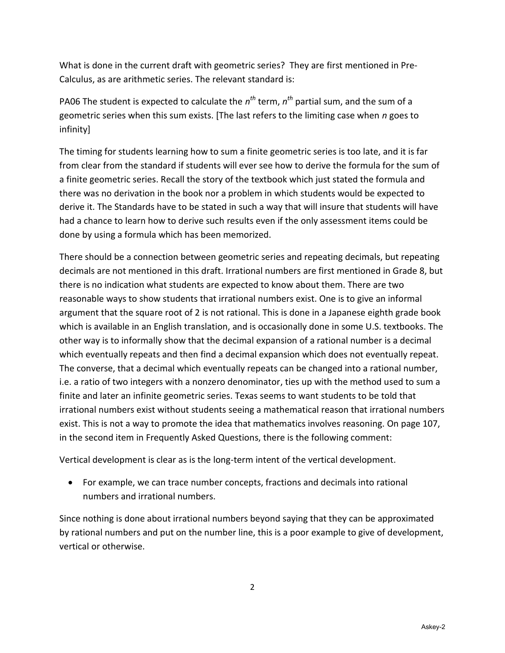What is done in the current draft with geometric series? They are first mentioned in Pre-Calculus, as are arithmetic series. The relevant standard is:

PA06 The student is expected to calculate the  $n^{th}$  term,  $n^{th}$  partial sum, and the sum of a geometric series when this sum exists. [The last refers to the limiting case when *n* goes to infinity]

The timing for students learning how to sum a finite geometric series is too late, and it is far from clear from the standard if students will ever see how to derive the formula for the sum of a finite geometric series. Recall the story of the textbook which just stated the formula and there was no derivation in the book nor a problem in which students would be expected to derive it. The Standards have to be stated in such a way that will insure that students will have had a chance to learn how to derive such results even if the only assessment items could be done by using a formula which has been memorized.

There should be a connection between geometric series and repeating decimals, but repeating decimals are not mentioned in this draft. Irrational numbers are first mentioned in Grade 8, but there is no indication what students are expected to know about them. There are two reasonable ways to show students that irrational numbers exist. One is to give an informal argument that the square root of 2 is not rational. This is done in a Japanese eighth grade book which is available in an English translation, and is occasionally done in some U.S. textbooks. The other way is to informally show that the decimal expansion of a rational number is a decimal which eventually repeats and then find a decimal expansion which does not eventually repeat. The converse, that a decimal which eventually repeats can be changed into a rational number, i.e. a ratio of two integers with a nonzero denominator, ties up with the method used to sum a finite and later an infinite geometric series. Texas seems to want students to be told that irrational numbers exist without students seeing a mathematical reason that irrational numbers exist. This is not a way to promote the idea that mathematics involves reasoning. On page 107, in the second item in Frequently Asked Questions, there is the following comment:

Vertical development is clear as is the long-term intent of the vertical development.

 For example, we can trace number concepts, fractions and decimals into rational numbers and irrational numbers.

Since nothing is done about irrational numbers beyond saying that they can be approximated by rational numbers and put on the number line, this is a poor example to give of development, vertical or otherwise.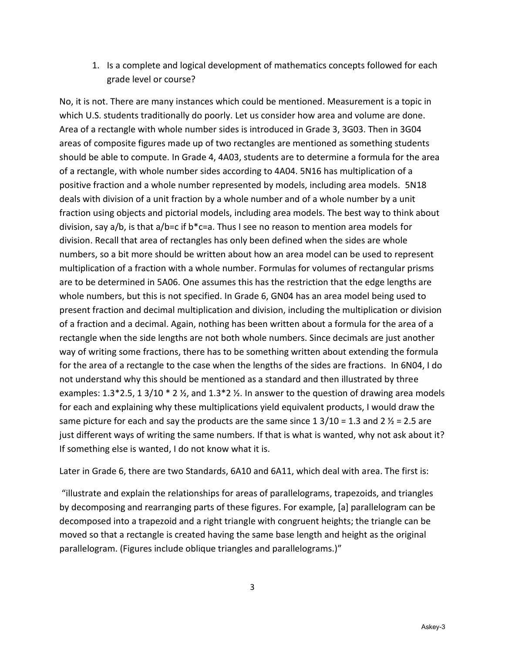1. Is a complete and logical development of mathematics concepts followed for each grade level or course?

No, it is not. There are many instances which could be mentioned. Measurement is a topic in which U.S. students traditionally do poorly. Let us consider how area and volume are done. Area of a rectangle with whole number sides is introduced in Grade 3, 3G03. Then in 3G04 areas of composite figures made up of two rectangles are mentioned as something students should be able to compute. In Grade 4, 4A03, students are to determine a formula for the area of a rectangle, with whole number sides according to 4A04. 5N16 has multiplication of a positive fraction and a whole number represented by models, including area models. 5N18 deals with division of a unit fraction by a whole number and of a whole number by a unit fraction using objects and pictorial models, including area models. The best way to think about division, say a/b, is that a/b=c if b\*c=a. Thus I see no reason to mention area models for division. Recall that area of rectangles has only been defined when the sides are whole numbers, so a bit more should be written about how an area model can be used to represent multiplication of a fraction with a whole number. Formulas for volumes of rectangular prisms are to be determined in 5A06. One assumes this has the restriction that the edge lengths are whole numbers, but this is not specified. In Grade 6, GN04 has an area model being used to present fraction and decimal multiplication and division, including the multiplication or division of a fraction and a decimal. Again, nothing has been written about a formula for the area of a rectangle when the side lengths are not both whole numbers. Since decimals are just another way of writing some fractions, there has to be something written about extending the formula for the area of a rectangle to the case when the lengths of the sides are fractions. In 6N04, I do not understand why this should be mentioned as a standard and then illustrated by three examples: 1.3\*2.5, 1 3/10 \* 2  $\frac{1}{2}$ , and 1.3\*2  $\frac{1}{2}$ . In answer to the question of drawing area models for each and explaining why these multiplications yield equivalent products, I would draw the same picture for each and say the products are the same since  $1 \frac{3}{10} = 1.3$  and  $2 \frac{1}{2} = 2.5$  are just different ways of writing the same numbers. If that is what is wanted, why not ask about it? If something else is wanted, I do not know what it is.

Later in Grade 6, there are two Standards, 6A10 and 6A11, which deal with area. The first is:

"illustrate and explain the relationships for areas of parallelograms, trapezoids, and triangles by decomposing and rearranging parts of these figures. For example, [a] parallelogram can be decomposed into a trapezoid and a right triangle with congruent heights; the triangle can be moved so that a rectangle is created having the same base length and height as the original parallelogram. (Figures include oblique triangles and parallelograms.)"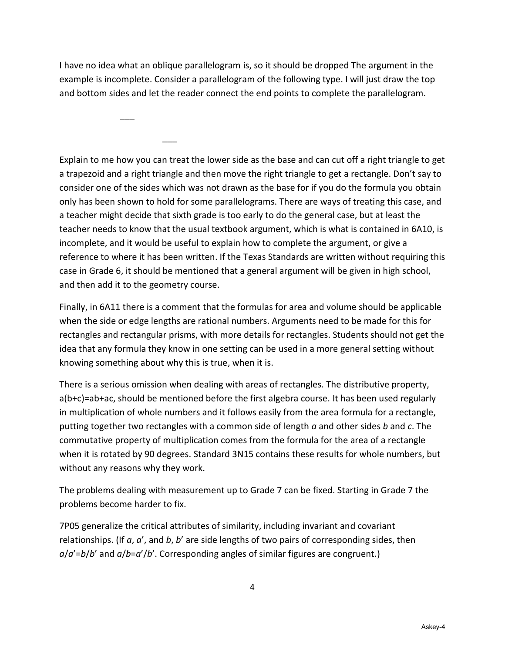I have no idea what an oblique parallelogram is, so it should be dropped The argument in the example is incomplete. Consider a parallelogram of the following type. I will just draw the top and bottom sides and let the reader connect the end points to complete the parallelogram.

 $\overline{\phantom{a}}$ 

\_\_\_

Explain to me how you can treat the lower side as the base and can cut off a right triangle to get a trapezoid and a right triangle and then move the right triangle to get a rectangle. Don't say to consider one of the sides which was not drawn as the base for if you do the formula you obtain only has been shown to hold for some parallelograms. There are ways of treating this case, and a teacher might decide that sixth grade is too early to do the general case, but at least the teacher needs to know that the usual textbook argument, which is what is contained in 6A10, is incomplete, and it would be useful to explain how to complete the argument, or give a reference to where it has been written. If the Texas Standards are written without requiring this case in Grade 6, it should be mentioned that a general argument will be given in high school, and then add it to the geometry course.

Finally, in 6A11 there is a comment that the formulas for area and volume should be applicable when the side or edge lengths are rational numbers. Arguments need to be made for this for rectangles and rectangular prisms, with more details for rectangles. Students should not get the idea that any formula they know in one setting can be used in a more general setting without knowing something about why this is true, when it is.

There is a serious omission when dealing with areas of rectangles. The distributive property, a(b+c)=ab+ac, should be mentioned before the first algebra course. It has been used regularly in multiplication of whole numbers and it follows easily from the area formula for a rectangle, putting together two rectangles with a common side of length *a* and other sides *b* and *c*. The commutative property of multiplication comes from the formula for the area of a rectangle when it is rotated by 90 degrees. Standard 3N15 contains these results for whole numbers, but without any reasons why they work.

The problems dealing with measurement up to Grade 7 can be fixed. Starting in Grade 7 the problems become harder to fix.

7P05 generalize the critical attributes of similarity, including invariant and covariant relationships. (If *a*, *a*', and *b*, *b*' are side lengths of two pairs of corresponding sides, then *a*/*a*'=*b*/*b*' and *a*/*b*=*a*'/*b*'. Corresponding angles of similar figures are congruent.)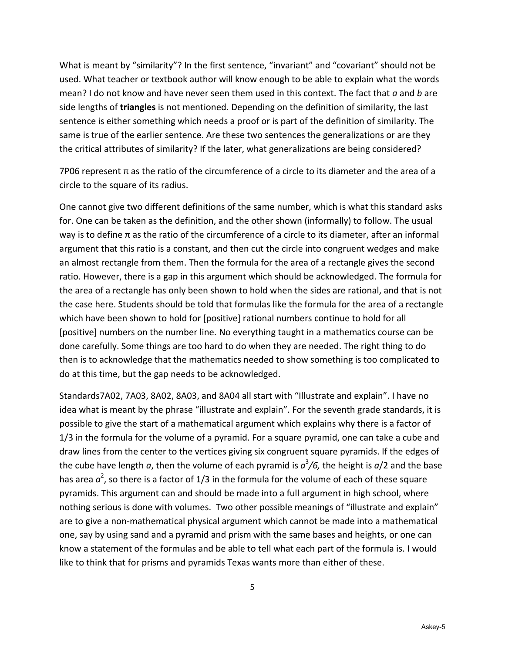What is meant by "similarity"? In the first sentence, "invariant" and "covariant" should not be used. What teacher or textbook author will know enough to be able to explain what the words mean? I do not know and have never seen them used in this context. The fact that *a* and *b* are side lengths of **triangles** is not mentioned. Depending on the definition of similarity, the last sentence is either something which needs a proof or is part of the definition of similarity. The same is true of the earlier sentence. Are these two sentences the generalizations or are they the critical attributes of similarity? If the later, what generalizations are being considered?

7P06 represent π as the ratio of the circumference of a circle to its diameter and the area of a circle to the square of its radius.

One cannot give two different definitions of the same number, which is what this standard asks for. One can be taken as the definition, and the other shown (informally) to follow. The usual way is to define π as the ratio of the circumference of a circle to its diameter, after an informal argument that this ratio is a constant, and then cut the circle into congruent wedges and make an almost rectangle from them. Then the formula for the area of a rectangle gives the second ratio. However, there is a gap in this argument which should be acknowledged. The formula for the area of a rectangle has only been shown to hold when the sides are rational, and that is not the case here. Students should be told that formulas like the formula for the area of a rectangle which have been shown to hold for [positive] rational numbers continue to hold for all [positive] numbers on the number line. No everything taught in a mathematics course can be done carefully. Some things are too hard to do when they are needed. The right thing to do then is to acknowledge that the mathematics needed to show something is too complicated to do at this time, but the gap needs to be acknowledged.

Standards7A02, 7A03, 8A02, 8A03, and 8A04 all start with "Illustrate and explain". I have no idea what is meant by the phrase "illustrate and explain". For the seventh grade standards, it is possible to give the start of a mathematical argument which explains why there is a factor of 1/3 in the formula for the volume of a pyramid. For a square pyramid, one can take a cube and draw lines from the center to the vertices giving six congruent square pyramids. If the edges of the cube have length *a*, then the volume of each pyramid is *a* 3 */6,* the height is *a*/2 and the base has area  $a^2$ , so there is a factor of 1/3 in the formula for the volume of each of these square pyramids. This argument can and should be made into a full argument in high school, where nothing serious is done with volumes. Two other possible meanings of "illustrate and explain" are to give a non-mathematical physical argument which cannot be made into a mathematical one, say by using sand and a pyramid and prism with the same bases and heights, or one can know a statement of the formulas and be able to tell what each part of the formula is. I would like to think that for prisms and pyramids Texas wants more than either of these.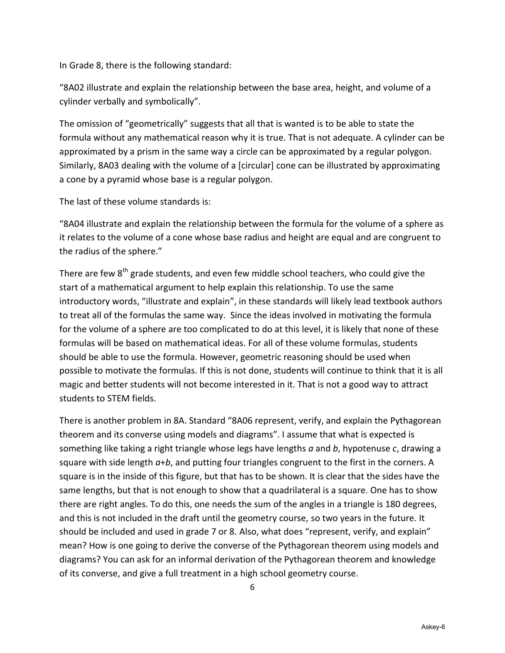In Grade 8, there is the following standard:

"8A02 illustrate and explain the relationship between the base area, height, and volume of a cylinder verbally and symbolically".

The omission of "geometrically" suggests that all that is wanted is to be able to state the formula without any mathematical reason why it is true. That is not adequate. A cylinder can be approximated by a prism in the same way a circle can be approximated by a regular polygon. Similarly, 8A03 dealing with the volume of a [circular] cone can be illustrated by approximating a cone by a pyramid whose base is a regular polygon.

The last of these volume standards is:

"8A04 illustrate and explain the relationship between the formula for the volume of a sphere as it relates to the volume of a cone whose base radius and height are equal and are congruent to the radius of the sphere."

There are few  $8^{th}$  grade students, and even few middle school teachers, who could give the start of a mathematical argument to help explain this relationship. To use the same introductory words, "illustrate and explain", in these standards will likely lead textbook authors to treat all of the formulas the same way. Since the ideas involved in motivating the formula for the volume of a sphere are too complicated to do at this level, it is likely that none of these formulas will be based on mathematical ideas. For all of these volume formulas, students should be able to use the formula. However, geometric reasoning should be used when possible to motivate the formulas. If this is not done, students will continue to think that it is all magic and better students will not become interested in it. That is not a good way to attract students to STEM fields.

There is another problem in 8A. Standard "8A06 represent, verify, and explain the Pythagorean theorem and its converse using models and diagrams". I assume that what is expected is something like taking a right triangle whose legs have lengths *a* and *b*, hypotenuse *c*, drawing a square with side length *a*+*b*, and putting four triangles congruent to the first in the corners. A square is in the inside of this figure, but that has to be shown. It is clear that the sides have the same lengths, but that is not enough to show that a quadrilateral is a square. One has to show there are right angles. To do this, one needs the sum of the angles in a triangle is 180 degrees, and this is not included in the draft until the geometry course, so two years in the future. It should be included and used in grade 7 or 8. Also, what does "represent, verify, and explain" mean? How is one going to derive the converse of the Pythagorean theorem using models and diagrams? You can ask for an informal derivation of the Pythagorean theorem and knowledge of its converse, and give a full treatment in a high school geometry course.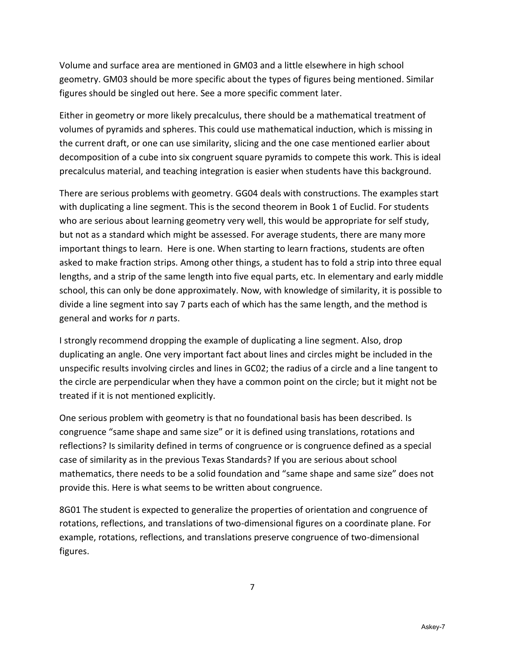Volume and surface area are mentioned in GM03 and a little elsewhere in high school geometry. GM03 should be more specific about the types of figures being mentioned. Similar figures should be singled out here. See a more specific comment later.

Either in geometry or more likely precalculus, there should be a mathematical treatment of volumes of pyramids and spheres. This could use mathematical induction, which is missing in the current draft, or one can use similarity, slicing and the one case mentioned earlier about decomposition of a cube into six congruent square pyramids to compete this work. This is ideal precalculus material, and teaching integration is easier when students have this background.

There are serious problems with geometry. GG04 deals with constructions. The examples start with duplicating a line segment. This is the second theorem in Book 1 of Euclid. For students who are serious about learning geometry very well, this would be appropriate for self study, but not as a standard which might be assessed. For average students, there are many more important things to learn. Here is one. When starting to learn fractions, students are often asked to make fraction strips. Among other things, a student has to fold a strip into three equal lengths, and a strip of the same length into five equal parts, etc. In elementary and early middle school, this can only be done approximately. Now, with knowledge of similarity, it is possible to divide a line segment into say 7 parts each of which has the same length, and the method is general and works for *n* parts.

I strongly recommend dropping the example of duplicating a line segment. Also, drop duplicating an angle. One very important fact about lines and circles might be included in the unspecific results involving circles and lines in GC02; the radius of a circle and a line tangent to the circle are perpendicular when they have a common point on the circle; but it might not be treated if it is not mentioned explicitly.

One serious problem with geometry is that no foundational basis has been described. Is congruence "same shape and same size" or it is defined using translations, rotations and reflections? Is similarity defined in terms of congruence or is congruence defined as a special case of similarity as in the previous Texas Standards? If you are serious about school mathematics, there needs to be a solid foundation and "same shape and same size" does not provide this. Here is what seems to be written about congruence.

8G01 The student is expected to generalize the properties of orientation and congruence of rotations, reflections, and translations of two-dimensional figures on a coordinate plane. For example, rotations, reflections, and translations preserve congruence of two-dimensional figures.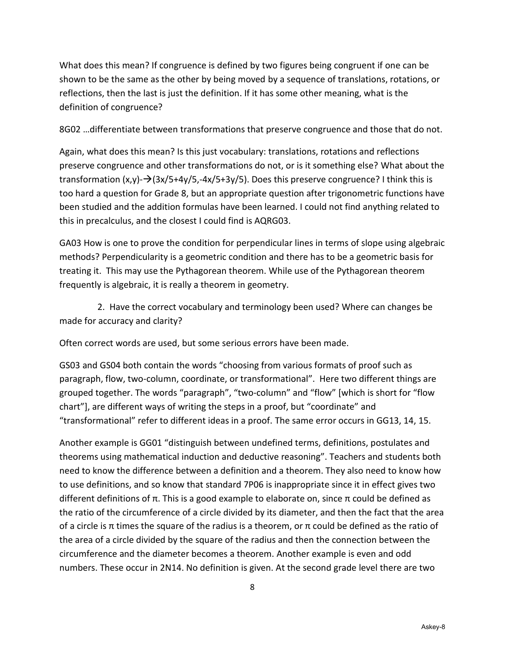What does this mean? If congruence is defined by two figures being congruent if one can be shown to be the same as the other by being moved by a sequence of translations, rotations, or reflections, then the last is just the definition. If it has some other meaning, what is the definition of congruence?

8G02 …differentiate between transformations that preserve congruence and those that do not.

Again, what does this mean? Is this just vocabulary: translations, rotations and reflections preserve congruence and other transformations do not, or is it something else? What about the transformation  $(x,y)$ - $\rightarrow$ (3x/5+4y/5,-4x/5+3y/5). Does this preserve congruence? I think this is too hard a question for Grade 8, but an appropriate question after trigonometric functions have been studied and the addition formulas have been learned. I could not find anything related to this in precalculus, and the closest I could find is AQRG03.

GA03 How is one to prove the condition for perpendicular lines in terms of slope using algebraic methods? Perpendicularity is a geometric condition and there has to be a geometric basis for treating it. This may use the Pythagorean theorem. While use of the Pythagorean theorem frequently is algebraic, it is really a theorem in geometry.

 2. Have the correct vocabulary and terminology been used? Where can changes be made for accuracy and clarity?

Often correct words are used, but some serious errors have been made.

GS03 and GS04 both contain the words "choosing from various formats of proof such as paragraph, flow, two-column, coordinate, or transformational". Here two different things are grouped together. The words "paragraph", "two-column" and "flow" [which is short for "flow chart"], are different ways of writing the steps in a proof, but "coordinate" and "transformational" refer to different ideas in a proof. The same error occurs in GG13, 14, 15.

Another example is GG01 "distinguish between undefined terms, definitions, postulates and theorems using mathematical induction and deductive reasoning". Teachers and students both need to know the difference between a definition and a theorem. They also need to know how to use definitions, and so know that standard 7P06 is inappropriate since it in effect gives two different definitions of π. This is a good example to elaborate on, since π could be defined as the ratio of the circumference of a circle divided by its diameter, and then the fact that the area of a circle is π times the square of the radius is a theorem, or π could be defined as the ratio of the area of a circle divided by the square of the radius and then the connection between the circumference and the diameter becomes a theorem. Another example is even and odd numbers. These occur in 2N14. No definition is given. At the second grade level there are two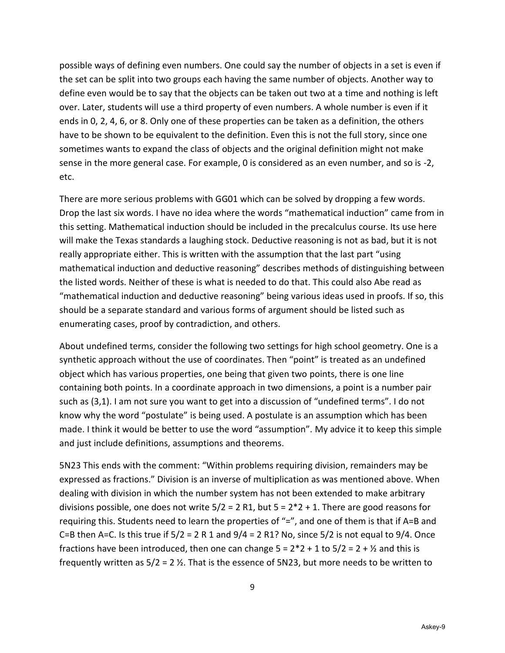possible ways of defining even numbers. One could say the number of objects in a set is even if the set can be split into two groups each having the same number of objects. Another way to define even would be to say that the objects can be taken out two at a time and nothing is left over. Later, students will use a third property of even numbers. A whole number is even if it ends in 0, 2, 4, 6, or 8. Only one of these properties can be taken as a definition, the others have to be shown to be equivalent to the definition. Even this is not the full story, since one sometimes wants to expand the class of objects and the original definition might not make sense in the more general case. For example, 0 is considered as an even number, and so is -2, etc.

There are more serious problems with GG01 which can be solved by dropping a few words. Drop the last six words. I have no idea where the words "mathematical induction" came from in this setting. Mathematical induction should be included in the precalculus course. Its use here will make the Texas standards a laughing stock. Deductive reasoning is not as bad, but it is not really appropriate either. This is written with the assumption that the last part "using mathematical induction and deductive reasoning" describes methods of distinguishing between the listed words. Neither of these is what is needed to do that. This could also Abe read as "mathematical induction and deductive reasoning" being various ideas used in proofs. If so, this should be a separate standard and various forms of argument should be listed such as enumerating cases, proof by contradiction, and others.

About undefined terms, consider the following two settings for high school geometry. One is a synthetic approach without the use of coordinates. Then "point" is treated as an undefined object which has various properties, one being that given two points, there is one line containing both points. In a coordinate approach in two dimensions, a point is a number pair such as (3,1). I am not sure you want to get into a discussion of "undefined terms". I do not know why the word "postulate" is being used. A postulate is an assumption which has been made. I think it would be better to use the word "assumption". My advice it to keep this simple and just include definitions, assumptions and theorems.

5N23 This ends with the comment: "Within problems requiring division, remainders may be expressed as fractions." Division is an inverse of multiplication as was mentioned above. When dealing with division in which the number system has not been extended to make arbitrary divisions possible, one does not write  $5/2 = 2$  R1, but  $5 = 2 \times 2 + 1$ . There are good reasons for requiring this. Students need to learn the properties of "=", and one of them is that if A=B and C=B then A=C. Is this true if  $5/2 = 2 R 1$  and  $9/4 = 2 R1$ ? No, since  $5/2$  is not equal to  $9/4$ . Once fractions have been introduced, then one can change  $5 = 2*2 + 1$  to  $5/2 = 2 + 1/2$  and this is frequently written as  $5/2 = 2 \frac{1}{2}$ . That is the essence of 5N23, but more needs to be written to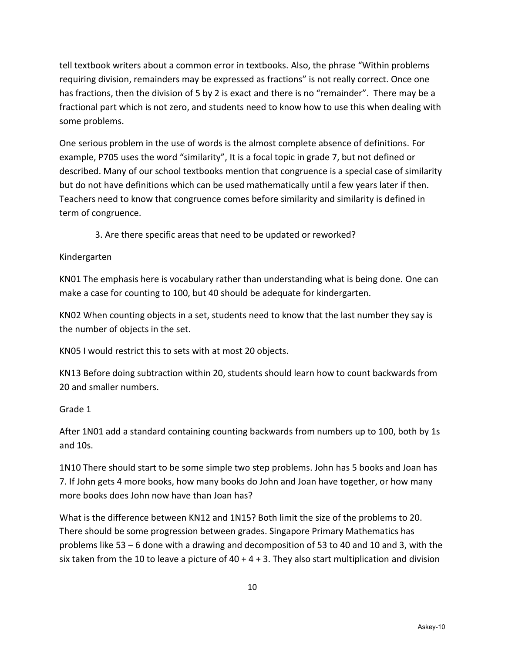tell textbook writers about a common error in textbooks. Also, the phrase "Within problems requiring division, remainders may be expressed as fractions" is not really correct. Once one has fractions, then the division of 5 by 2 is exact and there is no "remainder". There may be a fractional part which is not zero, and students need to know how to use this when dealing with some problems.

One serious problem in the use of words is the almost complete absence of definitions. For example, P705 uses the word "similarity", It is a focal topic in grade 7, but not defined or described. Many of our school textbooks mention that congruence is a special case of similarity but do not have definitions which can be used mathematically until a few years later if then. Teachers need to know that congruence comes before similarity and similarity is defined in term of congruence.

3. Are there specific areas that need to be updated or reworked?

#### Kindergarten

KN01 The emphasis here is vocabulary rather than understanding what is being done. One can make a case for counting to 100, but 40 should be adequate for kindergarten.

KN02 When counting objects in a set, students need to know that the last number they say is the number of objects in the set.

KN05 I would restrict this to sets with at most 20 objects.

KN13 Before doing subtraction within 20, students should learn how to count backwards from 20 and smaller numbers.

# Grade 1

After 1N01 add a standard containing counting backwards from numbers up to 100, both by 1s and 10s.

1N10 There should start to be some simple two step problems. John has 5 books and Joan has 7. If John gets 4 more books, how many books do John and Joan have together, or how many more books does John now have than Joan has?

What is the difference between KN12 and 1N15? Both limit the size of the problems to 20. There should be some progression between grades. Singapore Primary Mathematics has problems like 53 – 6 done with a drawing and decomposition of 53 to 40 and 10 and 3, with the six taken from the 10 to leave a picture of  $40 + 4 + 3$ . They also start multiplication and division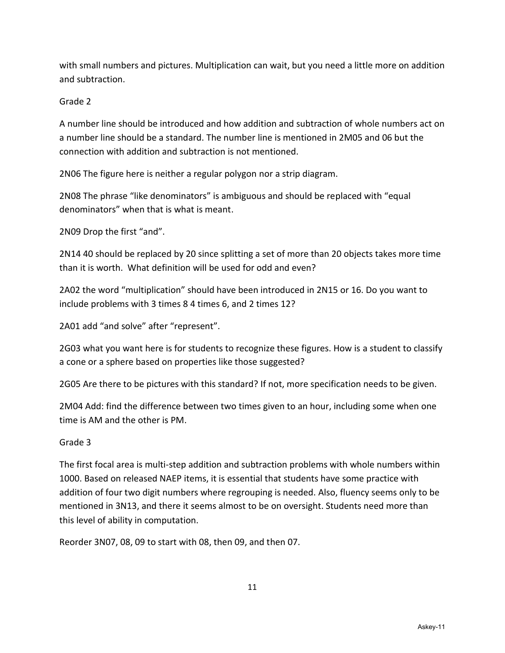with small numbers and pictures. Multiplication can wait, but you need a little more on addition and subtraction.

#### Grade 2

A number line should be introduced and how addition and subtraction of whole numbers act on a number line should be a standard. The number line is mentioned in 2M05 and 06 but the connection with addition and subtraction is not mentioned.

2N06 The figure here is neither a regular polygon nor a strip diagram.

2N08 The phrase "like denominators" is ambiguous and should be replaced with "equal denominators" when that is what is meant.

2N09 Drop the first "and".

2N14 40 should be replaced by 20 since splitting a set of more than 20 objects takes more time than it is worth. What definition will be used for odd and even?

2A02 the word "multiplication" should have been introduced in 2N15 or 16. Do you want to include problems with 3 times 8 4 times 6, and 2 times 12?

2A01 add "and solve" after "represent".

2G03 what you want here is for students to recognize these figures. How is a student to classify a cone or a sphere based on properties like those suggested?

2G05 Are there to be pictures with this standard? If not, more specification needs to be given.

2M04 Add: find the difference between two times given to an hour, including some when one time is AM and the other is PM.

#### Grade 3

The first focal area is multi-step addition and subtraction problems with whole numbers within 1000. Based on released NAEP items, it is essential that students have some practice with addition of four two digit numbers where regrouping is needed. Also, fluency seems only to be mentioned in 3N13, and there it seems almost to be on oversight. Students need more than this level of ability in computation.

Reorder 3N07, 08, 09 to start with 08, then 09, and then 07.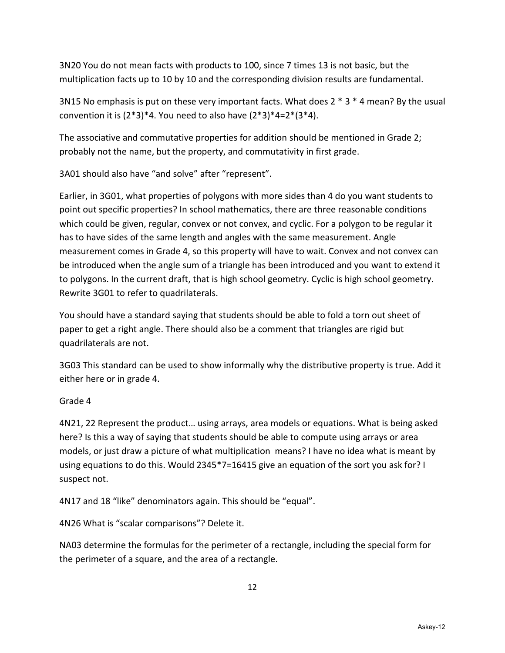3N20 You do not mean facts with products to 100, since 7 times 13 is not basic, but the multiplication facts up to 10 by 10 and the corresponding division results are fundamental.

3N15 No emphasis is put on these very important facts. What does 2 \* 3 \* 4 mean? By the usual convention it is  $(2^*3)^*4$ . You need to also have  $(2^*3)^*4=2^*(3^*4)$ .

The associative and commutative properties for addition should be mentioned in Grade 2; probably not the name, but the property, and commutativity in first grade.

3A01 should also have "and solve" after "represent".

Earlier, in 3G01, what properties of polygons with more sides than 4 do you want students to point out specific properties? In school mathematics, there are three reasonable conditions which could be given, regular, convex or not convex, and cyclic. For a polygon to be regular it has to have sides of the same length and angles with the same measurement. Angle measurement comes in Grade 4, so this property will have to wait. Convex and not convex can be introduced when the angle sum of a triangle has been introduced and you want to extend it to polygons. In the current draft, that is high school geometry. Cyclic is high school geometry. Rewrite 3G01 to refer to quadrilaterals.

You should have a standard saying that students should be able to fold a torn out sheet of paper to get a right angle. There should also be a comment that triangles are rigid but quadrilaterals are not.

3G03 This standard can be used to show informally why the distributive property is true. Add it either here or in grade 4.

# Grade 4

4N21, 22 Represent the product… using arrays, area models or equations. What is being asked here? Is this a way of saying that students should be able to compute using arrays or area models, or just draw a picture of what multiplication means? I have no idea what is meant by using equations to do this. Would 2345\*7=16415 give an equation of the sort you ask for? I suspect not.

4N17 and 18 "like" denominators again. This should be "equal".

4N26 What is "scalar comparisons"? Delete it.

NA03 determine the formulas for the perimeter of a rectangle, including the special form for the perimeter of a square, and the area of a rectangle.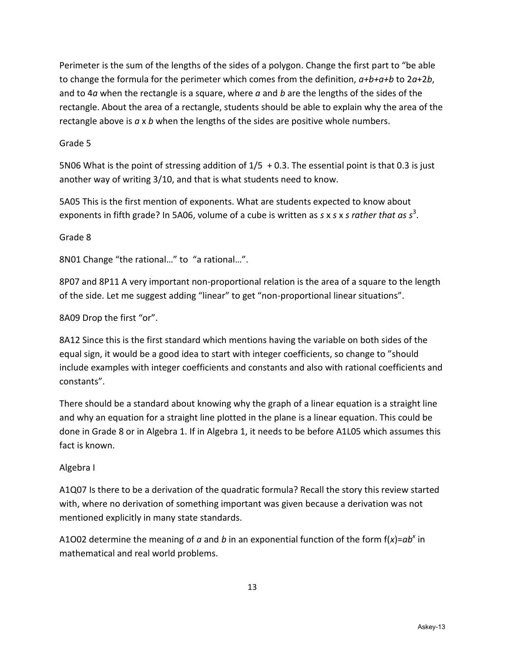Perimeter is the sum of the lengths of the sides of a polygon. Change the first part to "be able to change the formula for the perimeter which comes from the definition, *a+b+a+b* to 2*a*+2*b*, and to 4*a* when the rectangle is a square, where *a* and *b* are the lengths of the sides of the rectangle. About the area of a rectangle, students should be able to explain why the area of the rectangle above is *a* x *b* when the lengths of the sides are positive whole numbers.

Grade 5

5N06 What is the point of stressing addition of 1/5 + 0.3. The essential point is that 0.3 is just another way of writing 3/10, and that is what students need to know.

5A05 This is the first mention of exponents. What are students expected to know about exponents in fifth grade? In 5A06, volume of a cube is written as *s* x *s x s rather that as s*<sup>3</sup>.

Grade 8

8N01 Change "the rational…" to "a rational…".

8P07 and 8P11 A very important non-proportional relation is the area of a square to the length of the side. Let me suggest adding "linear" to get "non-proportional linear situations".

8A09 Drop the first "or".

8A12 Since this is the first standard which mentions having the variable on both sides of the equal sign, it would be a good idea to start with integer coefficients, so change to "should include examples with integer coefficients and constants and also with rational coefficients and constants".

There should be a standard about knowing why the graph of a linear equation is a straight line and why an equation for a straight line plotted in the plane is a linear equation. This could be done in Grade 8 or in Algebra 1. If in Algebra 1, it needs to be before A1L05 which assumes this fact is known.

# Algebra I

A1Q07 Is there to be a derivation of the quadratic formula? Recall the story this review started with, where no derivation of something important was given because a derivation was not mentioned explicitly in many state standards.

A1O02 determine the meaning of *a* and *b* in an exponential function of the form f(*x*)=*ab<sup>x</sup>* in mathematical and real world problems.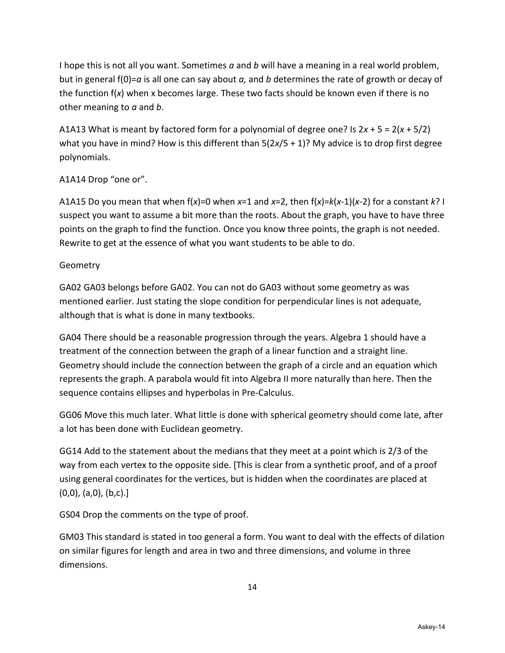I hope this is not all you want. Sometimes *a* and *b* will have a meaning in a real world problem, but in general f(0)=*a* is all one can say about *a,* and *b* determines the rate of growth or decay of the function f(*x*) when x becomes large. These two facts should be known even if there is no other meaning to *a* and *b*.

A1A13 What is meant by factored form for a polynomial of degree one? Is 2*x* + 5 = 2(*x* + 5/2) what you have in mind? How is this different than 5(2*x*/5 + 1)? My advice is to drop first degree polynomials.

# A1A14 Drop "one or".

A1A15 Do you mean that when f(*x*)=0 when *x*=1 and *x*=2, then f(*x*)=*k*(*x*-1)(*x*-2) for a constant *k*? I suspect you want to assume a bit more than the roots. About the graph, you have to have three points on the graph to find the function. Once you know three points, the graph is not needed. Rewrite to get at the essence of what you want students to be able to do.

# Geometry

GA02 GA03 belongs before GA02. You can not do GA03 without some geometry as was mentioned earlier. Just stating the slope condition for perpendicular lines is not adequate, although that is what is done in many textbooks.

GA04 There should be a reasonable progression through the years. Algebra 1 should have a treatment of the connection between the graph of a linear function and a straight line. Geometry should include the connection between the graph of a circle and an equation which represents the graph. A parabola would fit into Algebra II more naturally than here. Then the sequence contains ellipses and hyperbolas in Pre-Calculus.

GG06 Move this much later. What little is done with spherical geometry should come late, after a lot has been done with Euclidean geometry.

GG14 Add to the statement about the medians that they meet at a point which is 2/3 of the way from each vertex to the opposite side. [This is clear from a synthetic proof, and of a proof using general coordinates for the vertices, but is hidden when the coordinates are placed at  $(0,0)$ ,  $(a,0)$ ,  $(b,c)$ .]

GS04 Drop the comments on the type of proof.

GM03 This standard is stated in too general a form. You want to deal with the effects of dilation on similar figures for length and area in two and three dimensions, and volume in three dimensions.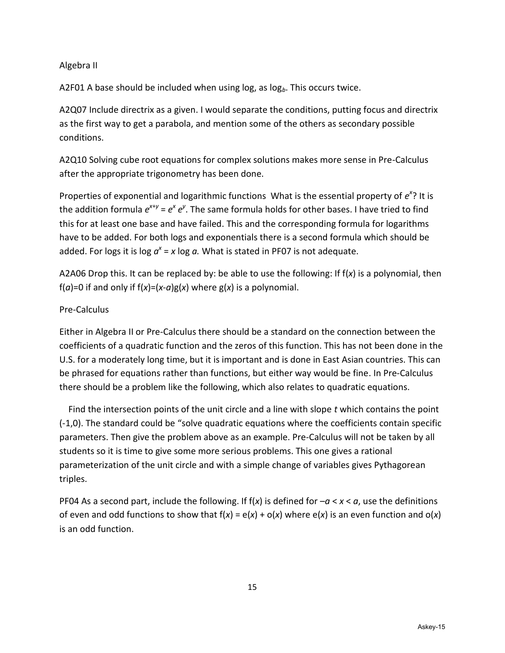#### Algebra II

A2F01 A base should be included when using log, as log<sub>b</sub>. This occurs twice.

A2Q07 Include directrix as a given. I would separate the conditions, putting focus and directrix as the first way to get a parabola, and mention some of the others as secondary possible conditions.

A2Q10 Solving cube root equations for complex solutions makes more sense in Pre-Calculus after the appropriate trigonometry has been done.

Properties of exponential and logarithmic functions What is the essential property of  $e^{x}$ ? It is the addition formula  $e^{x+y} = e^x e^y$ . The same formula holds for other bases. I have tried to find this for at least one base and have failed. This and the corresponding formula for logarithms have to be added. For both logs and exponentials there is a second formula which should be added. For logs it is log  $a^x$  = x log  $a$ . What is stated in PF07 is not adequate.

A2A06 Drop this. It can be replaced by: be able to use the following: If f(*x*) is a polynomial, then f(*a*)=0 if and only if  $f(x)=(x-a)g(x)$  where  $g(x)$  is a polynomial.

#### Pre-Calculus

Either in Algebra II or Pre-Calculus there should be a standard on the connection between the coefficients of a quadratic function and the zeros of this function. This has not been done in the U.S. for a moderately long time, but it is important and is done in East Asian countries. This can be phrased for equations rather than functions, but either way would be fine. In Pre-Calculus there should be a problem like the following, which also relates to quadratic equations.

 Find the intersection points of the unit circle and a line with slope *t* which contains the point (-1,0). The standard could be "solve quadratic equations where the coefficients contain specific parameters. Then give the problem above as an example. Pre-Calculus will not be taken by all students so it is time to give some more serious problems. This one gives a rational parameterization of the unit circle and with a simple change of variables gives Pythagorean triples.

PF04 As a second part, include the following. If f(*x*) is defined for –*a* < *x* < *a*, use the definitions of even and odd functions to show that  $f(x) = e(x) + o(x)$  where  $e(x)$  is an even function and  $o(x)$ is an odd function.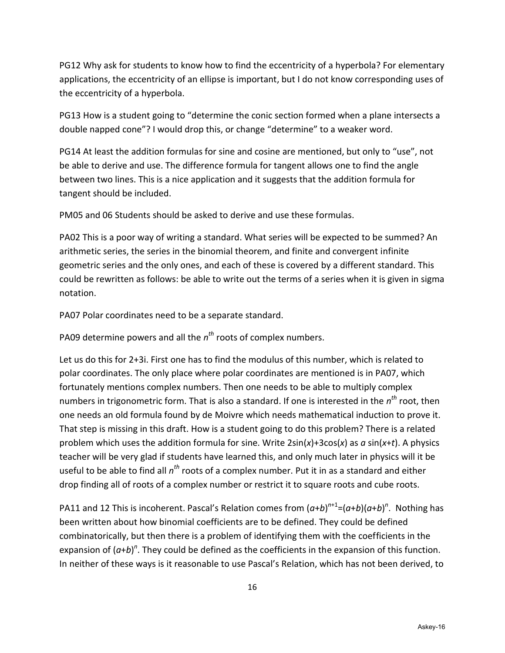PG12 Why ask for students to know how to find the eccentricity of a hyperbola? For elementary applications, the eccentricity of an ellipse is important, but I do not know corresponding uses of the eccentricity of a hyperbola.

PG13 How is a student going to "determine the conic section formed when a plane intersects a double napped cone"? I would drop this, or change "determine" to a weaker word.

PG14 At least the addition formulas for sine and cosine are mentioned, but only to "use", not be able to derive and use. The difference formula for tangent allows one to find the angle between two lines. This is a nice application and it suggests that the addition formula for tangent should be included.

PM05 and 06 Students should be asked to derive and use these formulas.

PA02 This is a poor way of writing a standard. What series will be expected to be summed? An arithmetic series, the series in the binomial theorem, and finite and convergent infinite geometric series and the only ones, and each of these is covered by a different standard. This could be rewritten as follows: be able to write out the terms of a series when it is given in sigma notation.

PA07 Polar coordinates need to be a separate standard.

PA09 determine powers and all the *n<sup>th</sup>* roots of complex numbers.

Let us do this for 2+3i. First one has to find the modulus of this number, which is related to polar coordinates. The only place where polar coordinates are mentioned is in PA07, which fortunately mentions complex numbers. Then one needs to be able to multiply complex numbers in trigonometric form. That is also a standard. If one is interested in the *n th* root, then one needs an old formula found by de Moivre which needs mathematical induction to prove it. That step is missing in this draft. How is a student going to do this problem? There is a related problem which uses the addition formula for sine. Write 2sin(*x*)+3cos(*x*) as *a* sin(*x*+*t*). A physics teacher will be very glad if students have learned this, and only much later in physics will it be useful to be able to find all *n th* roots of a complex number. Put it in as a standard and either drop finding all of roots of a complex number or restrict it to square roots and cube roots.

PA11 and 12 This is incoherent. Pascal's Relation comes from  $(a+b)^{n+1} = (a+b)(a+b)^n$ . Nothing has been written about how binomial coefficients are to be defined. They could be defined combinatorically, but then there is a problem of identifying them with the coefficients in the expansion of  $(a+b)^n$ . They could be defined as the coefficients in the expansion of this function. In neither of these ways is it reasonable to use Pascal's Relation, which has not been derived, to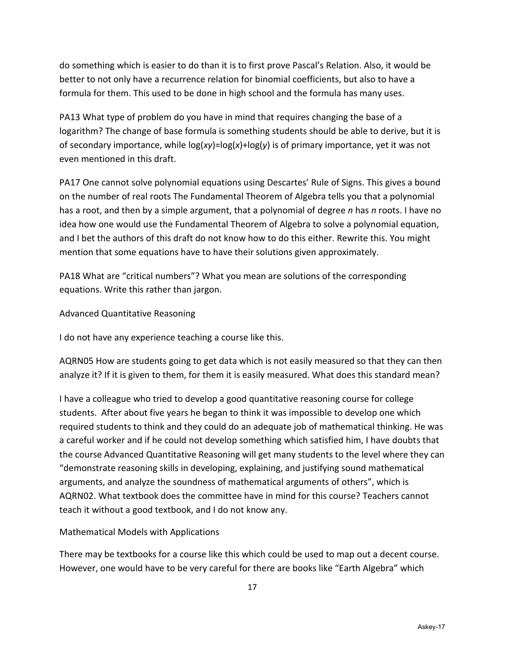do something which is easier to do than it is to first prove Pascal's Relation. Also, it would be better to not only have a recurrence relation for binomial coefficients, but also to have a formula for them. This used to be done in high school and the formula has many uses.

PA13 What type of problem do you have in mind that requires changing the base of a logarithm? The change of base formula is something students should be able to derive, but it is of secondary importance, while log(*xy*)=log(*x*)+log(*y*) is of primary importance, yet it was not even mentioned in this draft.

PA17 One cannot solve polynomial equations using Descartes' Rule of Signs. This gives a bound on the number of real roots The Fundamental Theorem of Algebra tells you that a polynomial has a root, and then by a simple argument, that a polynomial of degree *n* has *n* roots. I have no idea how one would use the Fundamental Theorem of Algebra to solve a polynomial equation, and I bet the authors of this draft do not know how to do this either. Rewrite this. You might mention that some equations have to have their solutions given approximately.

PA18 What are "critical numbers"? What you mean are solutions of the corresponding equations. Write this rather than jargon.

Advanced Quantitative Reasoning

I do not have any experience teaching a course like this.

AQRN05 How are students going to get data which is not easily measured so that they can then analyze it? If it is given to them, for them it is easily measured. What does this standard mean?

I have a colleague who tried to develop a good quantitative reasoning course for college students. After about five years he began to think it was impossible to develop one which required students to think and they could do an adequate job of mathematical thinking. He was a careful worker and if he could not develop something which satisfied him, I have doubts that the course Advanced Quantitative Reasoning will get many students to the level where they can "demonstrate reasoning skills in developing, explaining, and justifying sound mathematical arguments, and analyze the soundness of mathematical arguments of others", which is AQRN02. What textbook does the committee have in mind for this course? Teachers cannot teach it without a good textbook, and I do not know any.

# Mathematical Models with Applications

There may be textbooks for a course like this which could be used to map out a decent course. However, one would have to be very careful for there are books like "Earth Algebra" which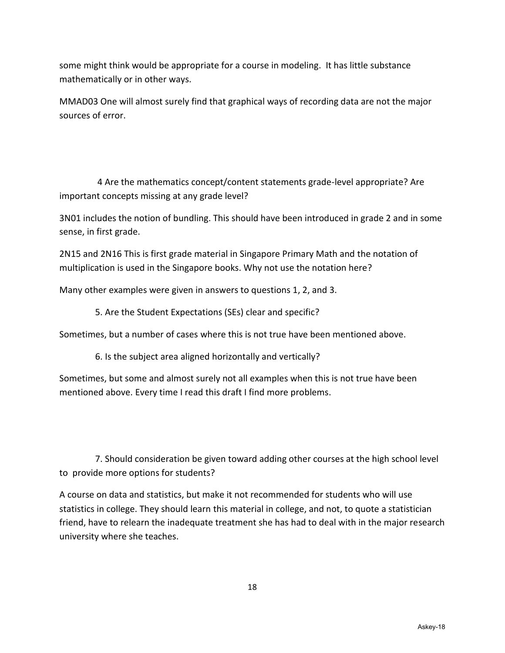some might think would be appropriate for a course in modeling. It has little substance mathematically or in other ways.

MMAD03 One will almost surely find that graphical ways of recording data are not the major sources of error.

 4 Are the mathematics concept/content statements grade-level appropriate? Are important concepts missing at any grade level?

3N01 includes the notion of bundling. This should have been introduced in grade 2 and in some sense, in first grade.

2N15 and 2N16 This is first grade material in Singapore Primary Math and the notation of multiplication is used in the Singapore books. Why not use the notation here?

Many other examples were given in answers to questions 1, 2, and 3.

5. Are the Student Expectations (SEs) clear and specific?

Sometimes, but a number of cases where this is not true have been mentioned above.

6. Is the subject area aligned horizontally and vertically?

Sometimes, but some and almost surely not all examples when this is not true have been mentioned above. Every time I read this draft I find more problems.

 7. Should consideration be given toward adding other courses at the high school level to provide more options for students?

A course on data and statistics, but make it not recommended for students who will use statistics in college. They should learn this material in college, and not, to quote a statistician friend, have to relearn the inadequate treatment she has had to deal with in the major research university where she teaches.